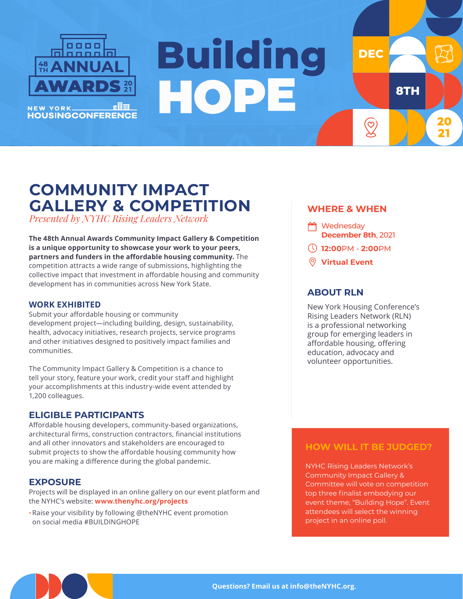

# **Building** HOPE

## **COMMUNITY IMPACT GALLERY & COMPETITION**

*Presented by NYHC Rising Leaders Network*

**The 48th Annual Awards Community Impact Gallery & Competition is a unique opportunity to showcase your work to your peers, partners and funders in the affordable housing community.** The competition attracts a wide range of submissions, highlighting the collective impact that investment in affordable housing and community development has in communities across New York State.

#### **WORK EXHIBITED**

Submit your affordable housing or community development project—including building, design, sustainability, health, advocacy initiatives, research projects, service programs and other initiatives designed to positively impact families and communities.

The Community Impact Gallery & Competition is a chance to tell your story, feature your work, credit your staff and highlight your accomplishments at this industry-wide event attended by 1,200 colleagues.

#### **ELIGIBLE PARTICIPANTS**

Affordable housing developers, community-based organizations, architectural firms, construction contractors, financial institutions and all other innovators and stakeholders are encouraged to submit projects to show the affordable housing community how you are making a difference during the global pandemic.

#### **EXPOSURE**

Projects will be displayed in an online gallery on our event platform and the NYHC's website: **www.thenyhc.org/projects**

• Raise your visibility by following @theNYHC event promotion on social media #BUILDINGHOPE

#### **WHERE & WHEN**

**DEC** 

 $\bigotimes$ 

**8TH** 

- <sup>n</sup> Wednesday **December 8th**, 2021
- **12:00**PM **2:00**PM
- **Virtual Event**

#### **ABOUT RLN**

New York Housing Conference's Rising Leaders Network (RLN) is a professional networking group for emerging leaders in affordable housing, offering education, advocacy and volunteer opportunities.

#### **HOW WILL IT BE JUDGED?**

NYHC Rising Leaders Network's Community Impact Gallery & Committee will vote on competition top three finalist embodying our event theme, "Building Hope". Event attendees will select the winning project in an online poll.